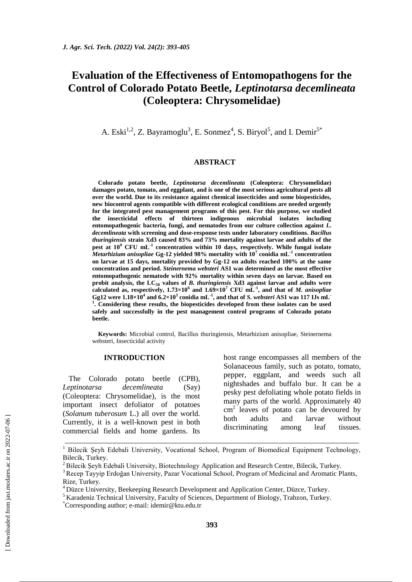# **Evaluation of the Effectiveness of Entomopathogens for the Control of Colorado Potato Beetle,** *Leptinotarsa decemlineata*  **(Coleoptera: Chrysomelidae)**

A. Eski<sup>1,2</sup>, Z. Bayramoglu<sup>3</sup>, E. Sonmez<sup>4</sup>, S. Biryol<sup>5</sup>, and I. Demir<sup>5\*</sup>

#### **ABSTRACT**

**Colorado potato beetle,** *Leptinotarsa decemlineata* **(Coleoptera: Chrysomelidae) damages potato, tomato, and eggplant, and is one of the most serious agricultural pests all over the world. Due to its resistance against chemical insecticides and some biopesticides, new biocontrol agents compatible with different ecological conditions are needed urgently for the integrated pest management programs of this pest. For this purpose, we studied the insecticidal effects of thirteen indigenous microbial isolates including entomopathogenic bacteria, fungi, and nematodes from our culture collection against** *L. decemlineata* **with screening and dose-response tests under laboratory conditions.** *Bacillus thuringiensis* **strain Xd3 caused 83% and 73% mortality against larvae and adults of the pest at 10<sup>9</sup> CFU mL-1 concentration within 10 days, respectively. While fungal isolate**  *Metarhizium anisopliae* **Gg-12 yielded 98% mortality with 10<sup>7</sup> conidia mL-1 concentration on larvae at 15 days, mortality provided by Gg-12 on adults reached 100% at the same concentration and period.** *Steinernema websteri* **AS1 was determined as the most effective entomopathogenic nematode with 92% mortality within seven days on larvae. Based on probit analysis, the LC<sup>50</sup> values of** *B. thuringiensis* **Xd3 against larvae and adults were calculated as, respectively, 1.73×10<sup>6</sup> and 1.69×10<sup>7</sup> CFU mL-1 , and that of** *M. anisopliae* Gg12 were  $1.18\times10^4$  and  $6.2\times10^3$  conidia mL<sup>-1</sup>, and that of *S. websteri* AS1 was 117 IJs mL<sup>-1</sup> **1 . Considering these results, the biopesticides developed from these isolates can be used safely and successfully in the pest management control programs of Colorado potato beetle.**

**Keywords:** Microbial control, Bacillus thuringiensis, Metarhizium anisopliae, Steinernema websteri, Insecticidal activity

#### **INTRODUCTION**

The Colorado potato beetle (CPB), *Leptinotarsa decemlineata* (Say) (Coleoptera: Chrysomelidae), is the most important insect defoliator of potatoes (*Solanum tuberosum* L.) all over the world. Currently, it is a well-known pest in both commercial fields and home gardens. Its host range encompasses all members of the Solanaceous family, such as potato, tomato, pepper, eggplant, and weeds such all nightshades and buffalo bur. It can be a pesky pest defoliating whole potato fields in many parts of the world. Approximately 40 cm<sup>2</sup> leaves of potato can be devoured by both adults and larvae without discriminating among leaf tissues.

\_\_\_\_\_\_\_\_\_\_\_\_\_\_\_\_\_\_\_\_\_\_\_\_\_\_\_\_\_\_\_\_\_\_\_\_\_\_\_\_\_\_\_\_\_\_\_\_\_\_\_\_\_\_\_\_\_\_\_\_\_\_\_\_\_\_\_\_\_\_\_\_\_\_\_\_\_ <sup>1</sup> Bilecik Seyh Edebali University, Vocational School, Program of Biomedical Equipment Technology, Bilecik, Turkey.

<sup>&</sup>lt;sup>2</sup> Bilecik Seyh Edebali University, Biotechnology Application and Research Centre, Bilecik, Turkey.

<sup>&</sup>lt;sup>3</sup> Recep Tayyip Erdoğan University, Pazar Vocational School, Program of Medicinal and Aromatic Plants, Rize, Turkey.

<sup>4</sup> Düzce University, Beekeeping Research Development and Application Center, Düzce, Turkey.

 $<sup>5</sup>$  Karadeniz Technical University, Faculty of Sciences, Department of Biology, Trabzon, Turkey.</sup>

<sup>\*</sup>Corresponding author; e-mail: idemir@ktu.edu.tr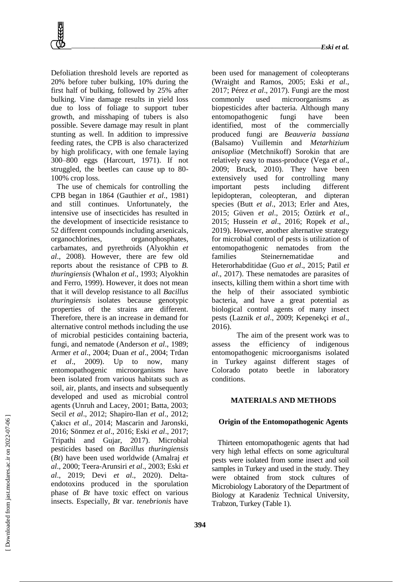Defoliation threshold levels are reported as 20% before tuber bulking, 10% during the first half of bulking, followed by 25% after bulking. Vine damage results in yield loss due to loss of foliage to support tuber growth, and misshaping of tubers is also possible. Severe damage may result in plant stunting as well. In addition to impressive feeding rates, the CPB is also characterized by high prolificacy, with one female laying 300–800 eggs (Harcourt, 1971). If not struggled, the beetles can cause up to 80- 100% crop loss.

The use of chemicals for controlling the CPB began in 1864 (Gauthier *et al*., 1981) and still continues. Unfortunately, the intensive use of insecticides has resulted in the development of insecticide resistance to 52 different compounds including arsenicals, organochlorines, organophosphates, carbamates, and pyrethroids (Alyokhin *et al*., 2008). However, there are few old reports about the resistance of CPB to *B. thuringiensis* (Whalon *et al*., 1993; Alyokhin and Ferro, 1999). However, it does not mean that it will develop resistance to all *Bacillus thuringiensis* isolates because genotypic properties of the strains are different. Therefore, there is an increase in demand for alternative control methods including the use of microbial pesticides containing bacteria, fungi, and nematode (Anderson *et al*., 1989; Armer *et al*., 2004; Duan *et al*., 2004; Trdan *et al*., 2009). Up to now, many entomopathogenic microorganisms have been isolated from various habitats such as soil, air, plants, and insects and subsequently developed and used as microbial control agents (Unruh and Lacey, 2001; Batta, 2003; Secil *et al*., 2012; Shapiro-Ilan *et al*., 2012; Çakıcı *et al*., 2014; Mascarin and Jaronski, 2016; Sönmez *et al*., 2016; Eski *et al*., 2017; Tripathi and Gujar, 2017). Microbial pesticides based on *Bacillus thuringiensis* (*Bt*) have been used worldwide (Amalraj *et al*., 2000; Teera-Arunsiri *et al*., 2003; Eski *et al*., 2019; Devi *et al*., 2020). Deltaendotoxins produced in the sporulation phase of *Bt* have toxic effect on various insects. Especially, *Bt* var. *tenebrionis* have

been used for management of coleopterans (Wraight and Ramos, 2005; Eski *et al*., 2017; Pérez *et al*., 2017). Fungi are the most commonly used microorganisms as biopesticides after bacteria. Although many entomopathogenic fungi have been identified, most of the commercially produced fungi are *Beauveria bassiana* (Balsamo) Vuillemin and *Metarhizium anisopliae* (Metchnikoff) Sorokin that are relatively easy to mass-produce (Vega *et al*., 2009; Bruck, 2010). They have been extensively used for controlling many important pests including different lepidopteran, coleopteran, and dipteran species (Butt *et al*., 2013; Erler and Ates, 2015; Güven *et al*., 2015; Öztürk *et al*., 2015; Hussein *et al*., 2016; Ropek *et al*., 2019). However, another alternative strategy for microbial control of pests is utilization of entomopathogenic nematodes from the families Steinernematidae and Heterorhabditidae (Guo *et al*., 2015; Patil *et al*., 2017). These nematodes are parasites of insects, killing them within a short time with the help of their associated symbiotic bacteria, and have a great potential as biological control agents of many insect pests (Laznik *et al*., 2009; Kepenekçi *et al*., 2016).

The aim of the present work was to assess the efficiency of indigenous entomopathogenic microorganisms isolated in Turkey against different stages of Colorado potato beetle in laboratory conditions.

### **MATERIALS AND METHODS**

#### **Origin of the Entomopathogenic Agents**

Thirteen entomopathogenic agents that had very high lethal effects on some agricultural pests were isolated from some insect and soil samples in Turkey and used in the study. They were obtained from stock cultures of Microbiology Laboratory of the Department of Biology at Karadeniz Technical University, Trabzon, Turkey (Table 1).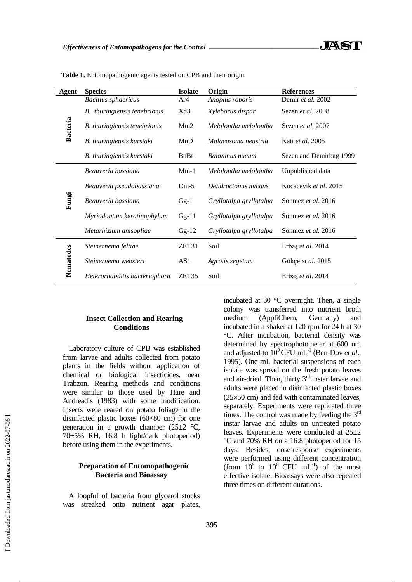| Agent           | <b>Species</b>                | <b>Isolate</b>    | Origin                  | <b>References</b>         |  |
|-----------------|-------------------------------|-------------------|-------------------------|---------------------------|--|
| <b>Bacteria</b> | <b>Bacillus</b> sphaericus    | Ar4               | Anoplus roboris         | Demir et al. 2002         |  |
|                 | B. thuringiensis tenebrionis  | Xd3               | Xyleborus dispar        | Sezen et al. 2008         |  |
|                 | B. thuringiensis tenebrionis  | Mm2               | Melolontha melolontha   | Sezen <i>et al.</i> 2007  |  |
|                 | B. thuringiensis kurstaki     | MnD               | Malacosoma neustria     | Kati <i>et al.</i> 2005   |  |
|                 | B. thuringiensis kurstaki     | <b>B</b> nBt      | Balaninus nucum         | Sezen and Demirbag 1999   |  |
| Fungi           | Beauveria bassiana            | $Mm-1$            | Melolontha melolontha   | Unpublished data          |  |
|                 | Beauveria pseudobassiana      | $Dm-5$            | Dendroctonus micans     | Kocacevik et al. 2015     |  |
|                 | Beauveria bassiana            | $Gg-1$            | Gryllotalpa gryllotalpa | Sönmez et al. 2016        |  |
|                 | Myriodontum kerotinophylum    | $Gg-11$           | Gryllotalpa gryllotalpa | Sönmez <i>et al.</i> 2016 |  |
|                 | Metarhizium anisopliae        | $Gg-12$           | Gryllotalpa gryllotalpa | Sönmez et al. 2016        |  |
| Nematodes       | Steinernema feltiae           | ZET31             | Soil                    | Erbaş et al. 2014         |  |
|                 | Steinernema websteri          | AS1               | Agrotis segetum         | Gökçe et al. 2015         |  |
|                 | Heterorhabditis bacteriophora | ZET <sub>35</sub> | Soil                    | Erbaş et al. 2014         |  |

**Table 1.** Entomopathogenic agents tested on CPB and their origin.

# **Insect Collection and Rearing Conditions**

Laboratory culture of CPB was established from larvae and adults collected from potato plants in the fields without application of chemical or biological insecticides, near Trabzon. Rearing methods and conditions were similar to those used by Hare and Andreadis (1983) with some modification. Insects were reared on potato foliage in the disinfected plastic boxes (60×80 cm) for one generation in a growth chamber  $(25\pm2~\degree C,$ 70±5% RH, 16:8 h light/dark photoperiod) before using them in the experiments.

# **Preparation of Entomopathogenic Bacteria and Bioassay**

A loopful of bacteria from glycerol stocks was streaked onto nutrient agar plates,

incubated at 30 °C overnight. Then, a single colony was transferred into nutrient broth medium (AppliChem, Germany) and incubated in a shaker at 120 rpm for 24 h at 30 °C. After incubation, bacterial density was determined by spectrophotometer at 600 nm and adjusted to  $10^9$  CFU mL<sup>-1</sup> (Ben-Dov *et al.*, 1995). One mL bacterial suspensions of each isolate was spread on the fresh potato leaves and air-dried. Then, thirty 3<sup>rd</sup> instar larvae and adults were placed in disinfected plastic boxes  $(25\times50 \text{ cm})$  and fed with contaminated leaves, separately. Experiments were replicated three times. The control was made by feeding the  $3<sup>rd</sup>$ instar larvae and adults on untreated potato leaves. Experiments were conducted at 25±2 °C and 70% RH on a 16:8 photoperiod for 15 days. Besides, dose-response experiments were performed using different concentration (from  $10^9$  to  $10^6$  CFU mL<sup>-1</sup>) of the most effective isolate. Bioassays were also repeated three times on different durations.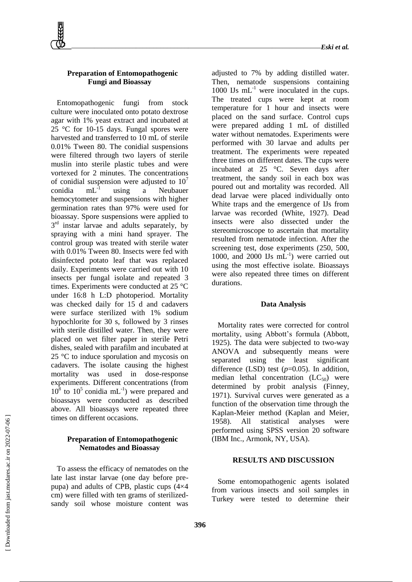

# **Preparation of Entomopathogenic Fungi and Bioassay**

Entomopathogenic fungi from stock culture were inoculated onto potato dextrose agar with 1% yeast extract and incubated at 25 °C for 10-15 days. Fungal spores were harvested and transferred to 10 mL of sterile 0.01% Tween 80. The conidial suspensions were filtered through two layers of sterile muslin into sterile plastic tubes and were vortexed for 2 minutes. The concentrations of conidial suspension were adjusted to  $10<sup>7</sup>$ conidia mL-1 using a Neubauer hemocytometer and suspensions with higher germination rates than 97% were used for bioassay. Spore suspensions were applied to 3<sup>rd</sup> instar larvae and adults separately, by spraying with a mini hand sprayer. The control group was treated with sterile water with 0.01% Tween 80. Insects were fed with disinfected potato leaf that was replaced daily. Experiments were carried out with 10 insects per fungal isolate and repeated 3 times. Experiments were conducted at 25 °C under 16:8 h L:D photoperiod. Mortality was checked daily for 15 d and cadavers were surface sterilized with 1% sodium hypochlorite for 30 s, followed by 3 rinses with sterile distilled water. Then, they were placed on wet filter paper in sterile Petri dishes, sealed with parafilm and incubated at 25 °C to induce sporulation and mycosis on cadavers. The isolate causing the highest mortality was used in dose-response experiments. Different concentrations (from  $10^8$  to  $10^5$  conidia mL<sup>-1</sup>) were prepared and bioassays were conducted as described above. All bioassays were repeated three times on different occasions.

# **Preparation of Entomopathogenic Nematodes and Bioassay**

To assess the efficacy of nematodes on the late last instar larvae (one day before prepupa) and adults of CPB, plastic cups (4×4 cm) were filled with ten grams of sterilizedsandy soil whose moisture content was

adjusted to 7% by adding distilled water. Then, nematode suspensions containing 1000 IJs  $mL^{-1}$  were inoculated in the cups. The treated cups were kept at room temperature for 1 hour and insects were placed on the sand surface. Control cups were prepared adding 1 mL of distilled water without nematodes. Experiments were performed with 30 larvae and adults per treatment. The experiments were repeated three times on different dates. The cups were incubated at 25 °C. Seven days after treatment, the sandy soil in each box was poured out and mortality was recorded. All dead larvae were placed individually onto White traps and the emergence of IJs from larvae was recorded (White, 1927). Dead insects were also dissected under the stereomicroscope to ascertain that mortality resulted from nematode infection. After the screening test, dose experiments (250, 500, 1000, and 2000 IJs  $mL^{-1}$ ) were carried out using the most effective isolate. Bioassays were also repeated three times on different durations.

#### **Data Analysis**

Mortality rates were corrected for control mortality, using Abbott's formula (Abbott, 1925). The data were subjected to two-way ANOVA and subsequently means were separated using the least significant difference (LSD) test (*p*=0.05). In addition, median lethal concentration  $(LC_{50})$  were determined by probit analysis (Finney, 1971). Survival curves were generated as a function of the observation time through the Kaplan-Meier method (Kaplan and Meier, 1958). All statistical analyses were performed using SPSS version 20 software (IBM Inc., Armonk, NY, USA).

# **RESULTS AND DISCUSSION**

Some entomopathogenic agents isolated from various insects and soil samples in Turkey were tested to determine their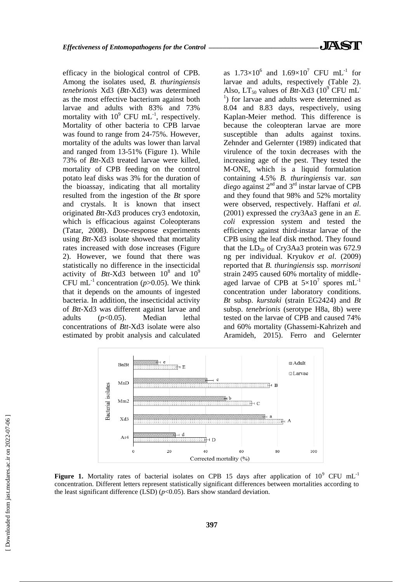efficacy in the biological control of CPB. Among the isolates used, *B. thuringiensis tenebrionis* Xd3 (*Btt*-Xd3) was determined as the most effective bacterium against both larvae and adults with 83% and 73% mortality with  $10^9$  CFU mL<sup>-1</sup>, respectively. Mortality of other bacteria to CPB larvae was found to range from 24-75%. However, mortality of the adults was lower than larval and ranged from 13-51% (Figure 1). While 73% of *Btt*-Xd3 treated larvae were killed, mortality of CPB feeding on the control potato leaf disks was 3% for the duration of the bioassay, indicating that all mortality resulted from the ingestion of the *Bt* spore and crystals. It is known that insect originated *Btt*-Xd3 produces cry3 endotoxin, which is efficacious against Coleopterans (Tatar, 2008). Dose-response experiments using *Btt*-Xd3 isolate showed that mortality rates increased with dose increases (Figure 2). However, we found that there was statistically no difference in the insecticidal activity of *Btt*-Xd3 between  $10^8$  and  $10^9$ CFU mL<sup>-1</sup> concentration ( $p$ >0.05). We think that it depends on the amounts of ingested bacteria. In addition, the insecticidal activity of *Btt*-Xd3 was different against larvae and adults (*p*<0.05). Median lethal concentrations of *Btt*-Xd3 isolate were also estimated by probit analysis and calculated

as  $1.73 \times 10^6$  and  $1.69 \times 10^7$  CFU mL<sup>-1</sup> for larvae and adults, respectively (Table 2). Also,  $LT_{50}$  values of *Btt*-Xd3 (10<sup>9</sup> CFU mL<sup>-</sup> <sup>1</sup>) for larvae and adults were determined as 8.04 and 8.83 days, respectively, using Kaplan-Meier method. This difference is because the coleopteran larvae are more susceptible than adults against toxins. Zehnder and Gelernter (1989) indicated that virulence of the toxin decreases with the increasing age of the pest. They tested the M-ONE, which is a liquid formulation containing 4.5% *B. thuringiensis* var. *san diego* against 2nd and 3rd instar larvae of CPB and they found that 98% and 52% mortality were observed, respectively. Haffani *et al*. (2001) expressed the *cry*3Aa3 gene in an *E. coli* expression system and tested the efficiency against third-instar larvae of the CPB using the leaf disk method. They found that the  $LD_{50}$  of Cry3Aa3 protein was 672.9 ng per individual. Kryukov *et al*. (2009) reported that *B. thuringiensis* ssp. *morrisoni*  strain 2495 caused 60% mortality of middleaged larvae of CPB at  $5\times10^{7}$  spores mL<sup>-1</sup> concentration under laboratory conditions. *Bt* subsp. *kurstaki* (strain EG2424) and *Bt* subsp. *tenebrionis* (serotype H8a, 8b) were tested on the larvae of CPB and caused 74% and 60% mortality (Ghassemi-Kahrizeh and Aramideh, 2015). Ferro and Gelernter



Figure 1. Mortality rates of bacterial isolates on CPB 15 days after application of 10<sup>9</sup> CFU mL<sup>-1</sup> concentration. Different letters represent statistically significant differences between mortalities according to the least significant difference (LSD)  $(p<0.05)$ . Bars show standard deviation.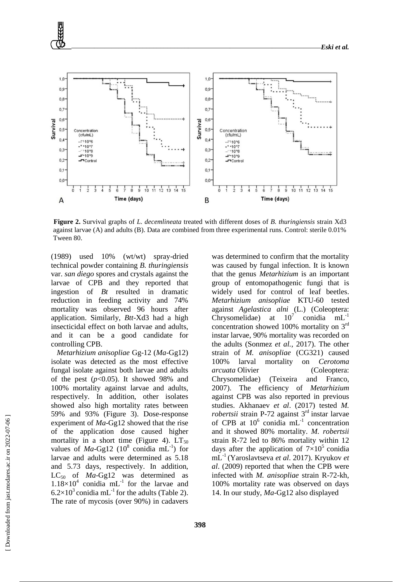

**Figure 2.** Survival graphs of *L. decemlineata* treated with different doses of *B. thuringiensis* strain Xd3 against larvae (A) and adults (B). Data are combined from three experimental runs. Control: sterile 0.01% Tween 80.

(1989) used 10% (wt/wt) spray-dried technical powder containing *B. thuringiensis* var. *san diego* spores and crystals against the larvae of CPB and they reported that ingestion of *Bt* resulted in dramatic reduction in feeding activity and 74% mortality was observed 96 hours after application. Similarly, *Btt*-Xd3 had a high insecticidal effect on both larvae and adults, and it can be a good candidate for controlling CPB.

*Metarhizium anisopliae* Gg-12 (*Ma*-Gg12) isolate was detected as the most effective fungal isolate against both larvae and adults of the pest  $(p<0.05)$ . It showed 98% and 100% mortality against larvae and adults, respectively. In addition, other isolates showed also high mortality rates between 59% and 93% (Figure 3). Dose-response experiment of *Ma*-Gg12 showed that the rise of the application dose caused higher mortality in a short time (Figure 4).  $LT_{50}$ values of  $Ma-Gg12$  (10<sup>8</sup> conidia mL<sup>-1</sup>) for larvae and adults were determined as 5.18 and 5.73 days, respectively. In addition, LC<sub>50</sub> of *Ma*-Gg12 was determined as  $1.18\times10^4$  conidia mL<sup>-1</sup> for the larvae and  $6.2\times10^{3}$  conidia mL<sup>-1</sup> for the adults (Table 2). The rate of mycosis (over 90%) in cadavers

was determined to confirm that the mortality was caused by fungal infection. It is known that the genus *Metarhizium* is an important group of entomopathogenic fungi that is widely used for control of leaf beetles. *Metarhizium anisopliae* KTU-60 tested against *Agelastica alni* (L.) (Coleoptera: Chrysomelidae) at  $10^7$  conidia  $mL^{-1}$ concentration showed 100% mortality on 3rd instar larvae, 90% mortality was recorded on the adults (Sonmez *et al.,* 2017). The other strain of *M. anisopliae* (CG321) caused 100% larval mortality on *Cerotoma arcuata* Olivier (Coleoptera: Chrysomelidae) (Teixeira and Franco, 2007). The efficiency of *Metarhizium* against CPB was also reported in previous studies. Akhanaev *et al*. (2017) tested *M. robertsii* strain P-72 against 3<sup>rd</sup> instar larvae of CPB at  $10^6$  conidia mL<sup>-1</sup> concentration and it showed 80% mortality. *M. robertsii* strain R-72 led to 86% mortality within 12 days after the application of  $7\times10^5$  conidia mL-1 (Yaroslavtseva *et al*. 2017). Kryukov *et al*. (2009) reported that when the CPB were infected with *M. anisopliae* strain R-72-kh, 100% mortality rate was observed on days 14. In our study, *Ma*-Gg12 also displayed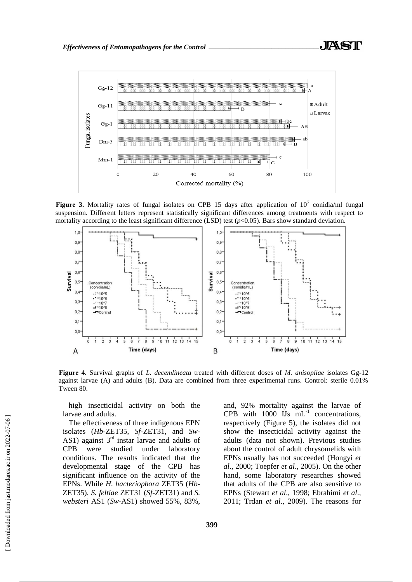

**Figure** 3. Mortality rates of fungal isolates on CPB 15 days after application of  $10^7$  conidia/ml fungal suspension. Different letters represent statistically significant differences among treatments with respect to mortality according to the least significant difference (LSD) test  $(p<0.05)$ . Bars show standard deviation.



**Figure 4.** Survival graphs of *L. decemlineata* treated with different doses of *M. anisopliae* isolates Gg-12 against larvae (A) and adults (B). Data are combined from three experimental runs. Control: sterile 0.01% Tween 80.

high insecticidal activity on both the larvae and adults.

The effectiveness of three indigenous EPN isolates (*Hb-*ZET35, *Sf-*ZET31, and *Sw-*AS1) against  $3<sup>rd</sup>$  instar larvae and adults of CPB were studied under laboratory conditions. The results indicated that the developmental stage of the CPB has significant influence on the activity of the EPNs. While *H. bacteriophora* ZET35 (*Hb*-ZET35), *S. feltiae* ZET31 (*Sf*-ZET31) and *S. websteri* AS1 (*Sw*-AS1) showed 55%, 83%,

and, 92% mortality against the larvae of CPB with  $1000$  IJs  $mL^{-1}$  concentrations, respectively (Figure 5), the isolates did not show the insecticidal activity against the adults (data not shown). Previous studies about the control of adult chrysomelids with EPNs usually has not succeeded (Hongyi *et al*., 2000; Toepfer *et al*., 2005). On the other hand, some laboratory researches showed that adults of the CPB are also sensitive to EPNs (Stewart *et al*., 1998; Ebrahimi *et al*., 2011; Trdan *et al*., 2009). The reasons for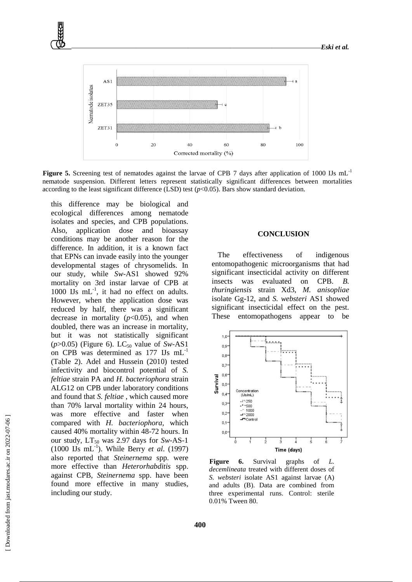

**Figure 5.** Screening test of nematodes against the larvae of CPB 7 days after application of 1000 IJs mL<sup>-1</sup> nematode suspension. Different letters represent statistically significant differences between mortalities according to the least significant difference (LSD) test  $(p<0.05)$ . Bars show standard deviation.

this difference may be biological and ecological differences among nematode isolates and species, and CPB populations. Also, application dose and bioassay conditions may be another reason for the difference. In addition, it is a known fact that EPNs can invade easily into the younger developmental stages of chrysomelids. In our study, while *Sw-*AS1 showed 92% mortality on 3rd instar larvae of CPB at 1000 IJs mL<sup>-1</sup>, it had no effect on adults. However, when the application dose was reduced by half, there was a significant decrease in mortality  $(p<0.05)$ , and when doubled, there was an increase in mortality, but it was not statistically significant  $(p>0.05)$  (Figure 6). LC<sub>50</sub> value of *Sw-AS1* on CPB was determined as 177 IJs mL-1 (Table 2). Adel and Hussein (2010) tested infectivity and biocontrol potential of *S. feltiae* strain PA and *H. bacteriophora* strain ALG12 on CPB under laboratory conditions and found that *S. feltiae* , which caused more than 70% larval mortality within 24 hours, was more effective and faster when compared with *H. bacteriophora,* which caused 40% mortality within 48-72 hours. In our study,  $LT_{50}$  was 2.97 days for *Sw-AS-1* (1000 IJs mL-1 ). While Berry *et al*. (1997) also reported that *Steinernema* spp. were more effective than *Heterorhabditis* spp. against CPB, *Steinernema* spp. have been found more effective in many studies, including our study.

## **CONCLUSION**

The effectiveness of indigenous entomopathogenic microorganisms that had significant insecticidal activity on different insects was evaluated on CPB. *B. thuringiensis* strain Xd3, *M. anisopliae* isolate Gg-12, and *S. websteri* AS1 showed significant insecticidal effect on the pest. These entomopathogens appear to be



**Figure 6.** Survival graphs of *L. decemlineata* treated with different doses of *S. websteri* isolate AS1 against larvae (A) and adults (B). Data are combined from three experimental runs. Control: sterile 0.01% Tween 80.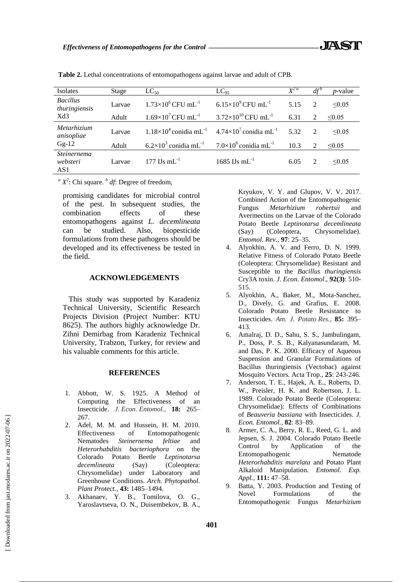| Isolates                         | Stage  | $LC_{50}$                                  | $LC_{95}$                                   | $X^{2a}$ | $df^{b}$      | $p$ -value  |
|----------------------------------|--------|--------------------------------------------|---------------------------------------------|----------|---------------|-------------|
| <b>Bacillus</b><br>thuringiensis | Larvae | $1.73\times10^{6}$ CFU mL <sup>-1</sup>    | $6.15\times10^{9}$ CFU mL <sup>-1</sup>     | 5.15     | 2             | $\leq 0.05$ |
| Xd3                              | Adult  | $1.69\times10^{7}$ CFU mL <sup>-1</sup>    | $3.72\times10^{10}$ CFU mL <sup>-1</sup>    | 6.31     | 2             | $\leq 0.05$ |
| Metarhizium<br>anisopliae        | Larvae | $1.18\times10^4$ conidia mL <sup>-1</sup>  | $4.74\times10^{7}$ conidia mL <sup>-1</sup> | 5.32     | $\mathcal{D}$ | $\leq 0.05$ |
| $Gg-12$                          | Adult  | $6.2\times10^{3}$ conidia mL <sup>-1</sup> | $7.0\times10^6$ conidia mL <sup>-1</sup>    | 10.3     | 2             | $\leq 0.05$ |
| Steinernema<br>websteri<br>AS1   | Larvae | 177 IJs m $L^{-1}$                         | $1685$ IJs mL <sup>-1</sup>                 | 6.05     | $\mathcal{D}$ | $\leq 0.05$ |

**Table 2.** Lethal concentrations of entomopathogens against larvae and adult of CPB.

 $a^a X^2$ : Chi square.  $b^b df$ : Degree of freedom,

promising candidates for microbial control of the pest. In subsequent studies, the combination effects of these entomopathogens against *L. decemlineata* can be studied. Also, biopesticide formulations from these pathogens should be developed and its effectiveness be tested in the field.

### **ACKNOWLEDGEMENTS**

This study was supported by Karadeniz Technical University, Scientific Research Projects Division (Project Number: KTU 8625). The authors highly acknowledge Dr. Zihni Demirbag from Karadeniz Technical University, Trabzon, Turkey, for review and his valuable comments for this article.

#### **REFERENCES**

- 1. Abbott, W. S. 1925. A Method of Computing the Effectiveness of an Insecticide. *J. Econ. Entomol.,* **18:** 265– 267.
- 2. Adel, M. M. and Hussein, H. M. 2010. Effectiveness of Entomopathogenic Nematodes *Steinernema feltiae* and *Heterorhabditis bacteriophora* on the Colorado Potato Beetle *Leptinotarsa decemlineata* (Say) (Coleoptera: Chrysomelidae) under Laboratory and Greenhouse Conditions. *Arch. Phytopathol. Plant Protect.,* **43:** 1485–1494.
- 3. Akhanaev, Y. B., Tomilova, O. G., Yaroslavtseva, O. N., Duisembekov, B. A.,

Kryukov, V. Y. and Glupov, V. V. 2017. Combined Action of the Entomopathogenic Fungus *Metarhizium robertsii* and Avermectins on the Larvae of the Colorado Potato Beetle *Leptinotarsa decemlineata*  (Say) (Coleoptera, Chrysomelidae). *Entomol. Rev.,* **97**: 25–35.

- 4. Alyokhin, A. V. and Ferro, D. N. 1999. Relative Fitness of Colorado Potato Beetle (Coleoptera: Chrysomelidae) Resistant and Susceptible to the *Bacillus thuringiensis* Cry3A toxin. *J. Econ. Entomol*., **92(3)**: 510- 515.
- 5. Alyokhin, A., Baker, M., Mota-Sanchez, D., Dively, G. and Grafius, E. 2008. Colorado Potato Beetle Resistance to Insecticides. *Am. J. Potato Res.,* **85:** 395– 413.
- 6. Amalraj, D. D., Sahu, S. S., Jambulingam, P., Doss, P. S. B., Kalyanasundaram, M. and Das, P. K. 2000. Efficacy of Aqueous Suspension and Granular Formulations of Bacillus thuringiensis (Vectobac) against Mosquito Vectors. Acta Trop., **25**: 243-246.
- 7. Anderson, T. E., Hajek, A. E., Roberts, D. W., Preisler, H. K. and Robertson, J. L. 1989. Colorado Potato Beetle (Coleoptera: Chrysomelidae): Effects of Combinations of *Beauveria bassiana* with Insecticides. *J. Econ. Entomol.,* **82**: 83–89.
- 8. Armer, C. A., Berry, R. E., Reed, G. L. and Jepsen, S. J. 2004. Colorado Potato Beetle Control by Application of the Entomopathogenic Nematode *Heterorhabditis marelata* and Potato Plant Alkaloid Manipulation. *Entomol. Exp. Appl.,* **111:** 47–58.
- 9. Batta, Y. 2003. Production and Testing of Novel Formulations of the Entomopathogenic Fungus *Metarhizium*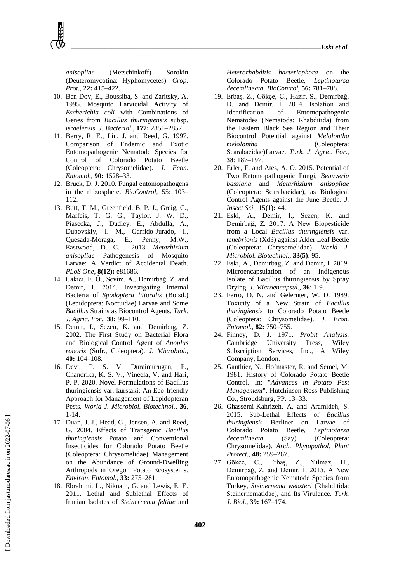*anisopliae* (Metschinkoff) Sorokin (Deuteromycotina: Hyphomycetes). *Crop. Prot.,* **22:** 415–422.

- 10. Ben-Dov, E., Boussiba, S. and Zaritsky, A. 1995. Mosquito Larvicidal Activity of *Escherichia coli* with Combinations of Genes from *Bacillus thuringiensis* subsp. *israelensis*. *J. Bacteriol.,* **177:** 2851–2857.
- 11. Berry, R. E., Liu, J. and Reed, G. 1997. Comparison of Endemic and Exotic Entomopathogenic Nematode Species for Control of Colorado Potato Beetle (Coleoptera: Chrysomelidae). *J. Econ. Entomol.,* **90:** 1528–33.
- 12. Bruck, D. J. 2010. Fungal entomopathogens in the rhizosphere. *BioControl,* 55: 103– 112.
- 13. Butt, T. M., Greenfield, B. P. J., Greig, C., Maffeis, T. G. G., Taylor, J. W. D., Piasecka, J., Dudley, E., Abdulla, A., Dubovskiy, I. M., Garrido-Jurado, I., Quesada-Moraga, E., Penny, M.W.,<br>Eastwood, D. C. 2013. Metarhizium Eastwood, D. C. 2013. *Metarhizium anisopliae* Pathogenesis of Mosquito Larvae: A Verdict of Accidental Death. *PLoS One*, **8(12):** e81686.
- 14. Çakıcı, F. Ö., Sevim, A., Demirbağ, Z. and Demir, İ. 2014. Investigating Internal Bacteria of *Spodoptera littoralis* (Boisd.) (Lepidoptera: Noctuidae) Larvae and Some *Bacillus* Strains as Biocontrol Agents. *Turk. J. Agric. For*., **38:** 99–110.
- 15. Demir, I., Sezen, K. and Demirbag, Z. 2002. The First Study on Bacterial Flora and Biological Control Agent of *Anoplus roboris* (Sufr., Coleoptera). *J. Microbiol.,* **40:** 104–108.
- 16. Devi, P. S. V, Duraimurugan, P., Chandrika, K. S. V., Vineela, V. and Hari, P. P. 2020. Novel Formulations of Bacillus thuringiensis var. kurstaki: An Eco-friendly Approach for Management of Lepidopteran Pests. *World J. Microbiol. Biotechnol.*, **36**, 1-14.
- 17. Duan, J. J., Head, G., Jensen, A. and Reed, G. 2004. Effects of Transgenic *Bacillus thuringiensis* Potato and Conventional Insecticides for Colorado Potato Beetle (Coleoptera: Chrysomelidae) Management on the Abundance of Ground-Dwelling Arthropods in Oregon Potato Ecosystems. *Environ. Entomol.,* **33:** 275–281.
- 18. Ebrahimi, L., Niknam, G. and Lewis, E. E. 2011. Lethal and Sublethal Effects of Iranian Isolates of *Steinernema feltiae* and

*Heterorhabditis bacteriophora* on the Colorado Potato Beetle, *Leptinotarsa decemlineata*. *BioControl,* **56:** 781–788.

- 19. Erbaş, Z., Gökçe, C., Hazir, S., Demirbağ, D. and Demir, İ. 2014. Isolation and Identification of Entomopathogenic Nematodes (Nematoda: Rhabditida) from the Eastern Black Sea Region and Their Biocontrol Potential against *Melolontha melolontha* (Coleoptera: Scarabaeidae)Larvae. *Turk. J. Agric. For*., **38**: 187–197.
- 20. Erler, F. and Ates, A. O. 2015. Potential of Two Entomopathogenic Fungi, *Beauveria bassiana* and *Metarhizium anisopliae* (Coleoptera: Scarabaeidae), as Biological Control Agents against the June Beetle. *J. Insect Sci.,* **15(1):** 44.
- 21. Eski, A., Demir, I., Sezen, K. and Demirbağ, Z. 2017. A New Biopesticide from a Local *Bacillus thuringiensis* var. *tenebrionis* (Xd3) against Alder Leaf Beetle (Coleoptera: Chrysomelidae). *World J. Microbiol. Biotechnol.,* **33(5)**: 95.
- 22. Eski, A., Demirbag, Z. and Demir, İ. 2019. Microencapsulation of an Indigenous Isolate of Bacillus thuringiensis by Spray Drying. *J. Microencapsul.*, **36**: 1-9.
- 23. Ferro, D. N. and Gelernter, W. D. 1989. Toxicity of a New Strain of *Bacillus thuringiensis* to Colorado Potato Beetle (Coleoptera: Chrysomelidae). *J. Econ. Entomol.,* **82:** 750–755.
- 24. Finney, D. J. 1971. *Probit Analysis.*  Cambridge University Press, Wiley Subscription Services, Inc., A Wiley Company, London.
- 25. Gauthier, N., Hofmaster, R. and Semel, M. 1981. History of Colorado Potato Beetle Control. In: "*Advances in Potato Pest Management*". Hutchinson Ross Publishing Co., Stroudsburg, PP. 13–33.
- 26. Ghassemi-Kahrizeh, A. and Aramideh, S. 2015. Sub-Lethal Effects of *Bacillus thuringiensis* Berliner on Larvae of Colorado Potato Beetle, *Leptinotarsa decemlineata* (Say) (Coleoptera: Chrysomelidae). *Arch. Phytopathol. Plant Protect.,* **48:** 259–267.
- 27. Gökçe, C., Erbaş, Z., Yılmaz, H., Demirbağ, Z. and Demir, İ. 2015. A New Entomopathogenic Nematode Species from Turkey, *Steinernema websteri* (Rhabditida: Steinernematidae), and Its Virulence. *Turk. J. Biol.,* **39:** 167–174.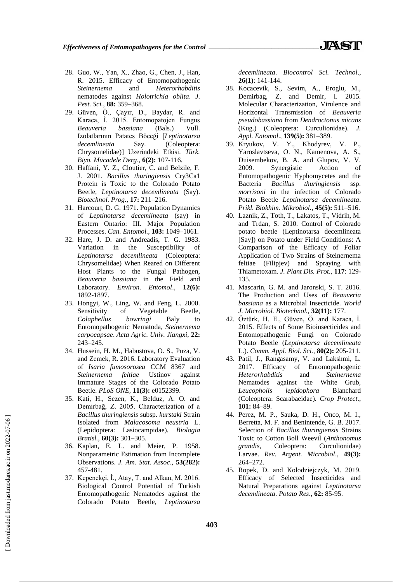- 28. Guo, W., Yan, X., Zhao, G., Chen, J., Han, R. 2015. Efficacy of Entomopathogenic *Steinernema* and *Heterorhabditis* nematodes against *Holotrichia oblita*. *J. Pest. Sci.,* **88:** 359–368.
- 29. Güven, Ö., Çayır, D., Baydar, R. and Karaca, İ. 2015. Entomopatojen Fungus *Beauveria bassiana* (Bals.) Vull. Izolatlarının Patates Böceği [*Leptinotarsa decemlineata* Say. (Coleoptera: Chrysomelidae)] Uzerindeki Etkisi. *Türk. Biyo. Mücadele Derg*., **6(2):** 107-116.
- 30. Haffani, Y. Z., Cloutier, C. and Belzile, F. J. 2001. *Bacillus thuringiensis* Cry3Ca1 Protein is Toxic to the Colorado Potato Beetle, *Leptinotarsa decemlineata* (Say). *Biotechnol. Prog.,* **17:** 211–216.
- 31. Harcourt, D. G. 1971. Population Dynamics of *Leptinotarsa decemlineata* (say) in Eastern Ontario: III. Major Population Processes. *Can. Entomol.,* **103:** 1049–1061.
- 32. Hare, J. D. and Andreadis, T. G. 1983. Variation in the Susceptibility of *Leptinotarsa decemlineata* (Coleoptera: Chrysomelidae) When Reared on Different Host Plants to the Fungal Pathogen, *Beauveria bassiana* in the Field and Laboratory. *Environ. Entomol*., **12(6):** 1892-1897.
- 33. Hongyi, W., Ling, W. and Feng, L. 2000. Sensitivity of Vegetable Beetle, *Colaphellus bowringi* Baly to Entomopathogenic Nematoda, *Steinernema carpocapsae*. *Acta Agric. Univ. Jiangxi,* **22:**  243–245.
- 34. Hussein, H. M., Habustova, O. S., Puza, V. and Zemek, R. 2016. Laboratory Evaluation of *Isaria fumosorosea* CCM 8367 and *Steinernema feltiae* Ustinov against Immature Stages of the Colorado Potato Beetle. *PLoS ONE,* **11(3):** e0152399.
- 35. Kati, H., Sezen, K., Belduz, A. O. and Demirbağ, Z. 2005. Characterization of a *Bacillus thuringiensis* subsp. *kurstaki* Strain Isolated from *Malacosoma neustria* L. (Lepidoptera: Lasiocampidae). *Biologia Bratisl.,* **60(3):** 301–305.
- 36. Kaplan, E. L. and Meier, P. 1958. Nonparametric Estimation from Incomplete Observations. *J. Am. Stat. Assoc*., **53(282):** 457-481.
- 37. Kepenekçi, İ., Atay, T. and Alkan, M. 2016. Biological Control Potential of Turkish Entomopathogenic Nematodes against the Colorado Potato Beetle, *Leptinotarsa*

*decemlineata*. *Biocontrol Sci. Technol*., **26(1)**: 141-144.

- 38. Kocacevik, S., Sevim, A., Eroglu, M., Demirbag, Z. and Demir, I. 2015. Molecular Characterization, Virulence and Horizontal Transmission of *Beauveria pseudobassiana* from *Dendroctonus micans* (Kug.) (Coleoptera: Curculionidae). *J. Appl. Entomol*., **139(5):** 381–389.
- 39. Kryukov, V. Y., Khodyrev, V. P., Yaroslavtseva, O. N., Kamenova, A. S., Duisembekov, B. A. and Glupov, V. V. 2009. Synergistic Action of Entomopathogenic Hyphomycetes and the Bacteria *Bacillus thuringiensis* ssp. *morrisoni* in the infection of Colorado Potato Beetle *Leptinotarsa decemlineata*. *Prikl. Biokhim. Mikrobiol.,* **45(5):** 511–516.
- 40. Laznik, Z., Toth, T., Lakatos, T., Vidrih, M. and Trdan, S. 2010. Control of Colorado potato beetle (Leptinotarsa decemlineata [Say]) on Potato under Field Conditions: A Comparison of the Efficacy of Foliar Application of Two Strains of Steinernema feltiae (Filipjev) and Spraying with Thiametoxam. *J. Plant Dis. Prot.*, **117**: 129- 135.
- 41. Mascarin, G. M. and Jaronski, S. T. 2016. The Production and Uses of *Beauveria bassiana* as a Microbial Insecticide. *World J. Microbiol. Biotechnol.,* **32(11):** 177.
- 42. Öztürk, H. E., Güven, Ö. and Karaca, İ. 2015. Effects of Some Bioinsecticides and Entomopathogenic Fungi on Colorado Potato Beetle (*Leptinotarsa decemlineata* L.). *Comm. Appl. Biol. Sci.,* **80(2):** 205-211.
- 43. Patil, J., Rangasamy, V. and Lakshmi, L. 2017. Efficacy of Entomopathogenic *Heterorhabditis* and *Steinernema* Nematodes against the White Grub, *Leucopholis lepidophora* Blanchard (Coleoptera: Scarabaeidae). *Crop Protect*., **101:** 84–89.
- 44. Perez, M. P., Sauka, D. H., Onco, M. I., Berretta, M. F. and Benintende, G. B. 2017. Selection of *Bacillus thuringiensis* Strains Toxic to Cotton Boll Weevil (*Anthonomus grandis*, Coleoptera: Curculionidae) Larvae. *Rev. Argent. Microbiol*., **49(3):** 264–272.
- 45. Ropek, D. and Kolodziejczyk, M. 2019. Efficacy of Selected Insecticides and Natural Preparations against *Leptinotarsa decemlineata*. *Potato Res*., **62:** 85-95.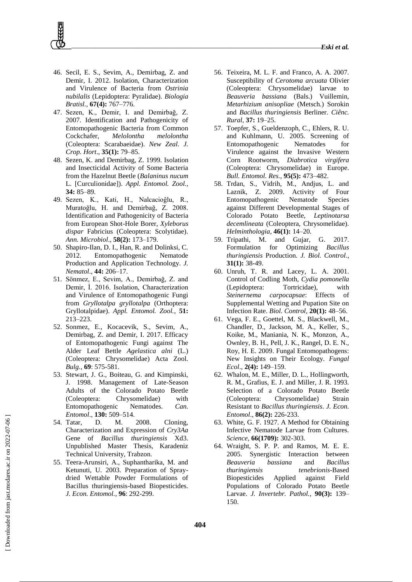- 46. Secil, E. S., Sevim, A., Demirbag, Z. and Demir, I. 2012. Isolation, Characterization and Virulence of Bacteria from *Ostrinia nubilalis* (Lepidoptera: Pyralidae). *Biologia Bratisl.,* **67(4):** 767–776.
- 47. Sezen, K., Demir, I. and Demirbağ, Z. 2007. Identification and Pathogenicity of Entomopathogenic Bacteria from Common Cockchafer, *Melolontha melolontha* (Coleoptera: Scarabaeidae). *New Zeal. J. Crop. Hort*., **35(1):** 79–85.
- 48. Sezen, K. and Demirbag, Z. 1999. Isolation and Insecticidal Activity of Some Bacteria from the Hazelnut Beetle (*Balaninus nucum* L. [Curculionidae]). *Appl. Entomol. Zool.,* **34:** 85–89.
- 49. Sezen, K., Kati, H., Nalcacioĝlu, R., Muratoğlu, H. and Demirbağ, Z. 2008. Identification and Pathogenicity of Bacteria from European Shot-Hole Borer, *Xyleborus dispar* Fabricius (Coleoptera: Scolytidae). *Ann. Microbiol*., **58(2):** 173–179.
- 50. Shapiro-Ilan, D. I., Han, R. and Dolinksi, C. 2012. Entomopathogenic Nematode Production and Application Technology. *J. Nematol*., **44:** 206–17.
- 51. Sönmez, E., Sevim, A., Demirbağ, Z. and Demir, İ. 2016. Isolation, Characterization and Virulence of Entomopathogenic Fungi from *Gryllotalpa gryllotalpa* (Orthoptera: Gryllotalpidae). *Appl. Entomol. Zool.*, **51:** 213–223.
- 52. Sonmez, E., Kocacevik, S., Sevim, A., Demirbag, Z. and Demir, I. 2017. Efficacy of Entomopathogenic Fungi against The Alder Leaf Bettle *Agelastica alni* (L.) (Coleoptera: Chrysomelidae) Acta Zool. *Bulg.*, **69**: 575-581.
- 53. Stewart, J. G., Boiteau, G. and Kimpinski, J. 1998. Management of Late-Season Adults of the Colorado Potato Beetle (Coleoptera: Chrysomelidae) with Entomopathogenic Nematodes. *Can. Entomol*., **130:** 509–514.
- 54. Tatar, D. M. 2008. Cloning, Characterization and Expression of *Cry3Aa* Gene of *Bacillus thuringiensis* Xd3. Unpublished Master Thesis, Karadeniz Technical University, Trabzon.
- 55. Teera-Arunsiri, A., Suphantharika, M. and Ketunuti, U. 2003. Preparation of Spraydried Wettable Powder Formulations of Bacillus thuringiensis-based Biopesticides. *J. Econ. Entomol.*, **96**: 292-299.
- 56. Teixeira, M. L. F. and Franco, A. A. 2007. Susceptibility of *Cerotoma arcuata* Olivier (Coleoptera: Chrysomelidae) larvae to *Beauveria bassiana* (Bals.) Vuillemin, *Metarhizium anisopliae* (Metsch.) Sorokin and *Bacillus thuringiensis* Berliner. *Ciênc. Rural,* **37:** 19–25.
- 57. Toepfer, S., Gueldenzoph, C., Ehlers, R. U. and Kuhlmann, U. 2005. Screening of Entomopathogenic Nematodes for Virulence against the Invasive Western Corn Rootworm, *Diabrotica virgifera* (Coleoptera: Chrysomelidae) in Europe. *Bull. Entomol. Res.,* **95(5):** 473–482.
- 58. Trdan, S., Vidrih, M., Andjus, L. and Laznik, Z. 2009. Activity of Four Entomopathogenic Nematode Species against Different Developmental Stages of Colorado Potato Beetle, *Leptinotarsa decemlineata* (Coleoptera, Chrysomelidae). *Helminthologia,* **46(1):** 14–20.
- 59. Tripathi, M. and Gujar, G. 2017. Formulation for Optimizing *Bacillus thuringiensis* Production. *J. Biol. Control*., **31(1):** 38-49.
- 60. Unruh, T. R. and Lacey, L. A. 2001. Control of Codling Moth, *Cydia pomonella* (Lepidoptera: Tortricidae), with *Steinernema carpocapsae*: Effects of Supplemental Wetting and Pupation Site on Infection Rate. *Biol. Control*, **20(1):** 48–56.
- 61. Vega, F. E., Goettel, M. S., Blackwell, M., Chandler, D., Jackson, M. A., Keller, S., Koike, M., Maniania, N. K., Monzon, A., Ownley, B. H., Pell, J. K., Rangel, D. E. N., Roy, H. E. 2009. Fungal Entomopathogens: New Insights on Their Ecology. *Fungal Ecol*., **2(4):** 149–159.
- 62. Whalon, M. E., Miller, D. L., Hollingworth, R. M., Grafius, E. J. and Miller, J. R. 1993. Selection of a Colorado Potato Beetle (Coleoptera: Chrysomelidae) Strain Resistant to *Bacillus thuringiensis*. *J. Econ. Entomol*., **86(2):** 226-233.
- 63. White, G. F. 1927. A Method for Obtaining Infective Nematode Larvae from Cultures. *Science,* **66(1709):** 302-303.
- 64. Wraight, S. P. P. and Ramos, M. E. E. 2005. Synergistic Interaction between *Beauveria bassiana* and *Bacillus thuringiensis tenebrionis*-Based Biopesticides Applied against Field Populations of Colorado Potato Beetle Larvae. *J. Invertebr. Pathol.,* **90(3):** 139– 150.